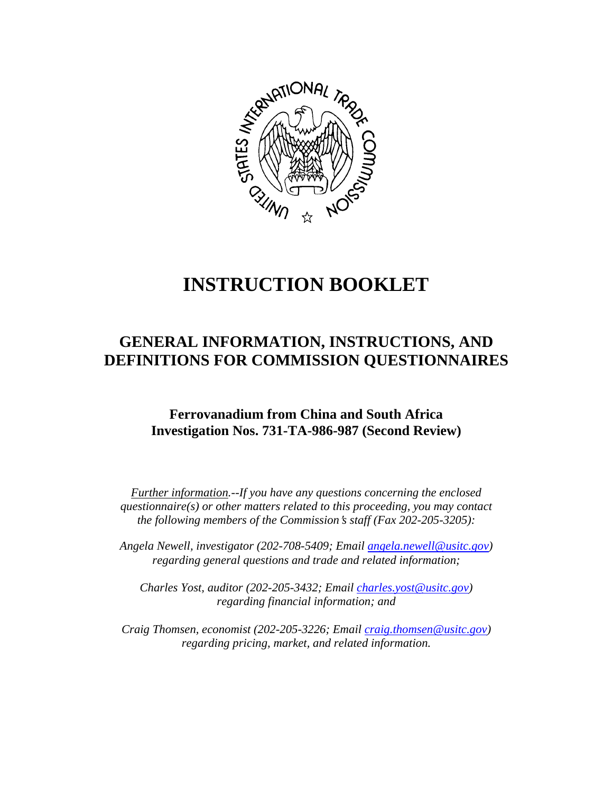

# **INSTRUCTION BOOKLET**

## **GENERAL INFORMATION, INSTRUCTIONS, AND DEFINITIONS FOR COMMISSION QUESTIONNAIRES**

### **Ferrovanadium from China and South Africa Investigation Nos. 731-TA-986-987 (Second Review)**

*Further information.--If you have any questions concerning the enclosed questionnaire(s) or other matters related to this proceeding, you may contact the following members of the Commission's staff (Fax 202-205-3205):* 

 *Angela Newell, investigator (202-708-5409; Email angela.newell@usitc.gov) regarding general questions and trade and related information;* 

 *Charles Yost, auditor (202-205-3432; Email charles.yost@usitc.gov) regarding financial information; and* 

 *Craig Thomsen, economist (202-205-3226; Email craig.thomsen@usitc.gov) regarding pricing, market, and related information.*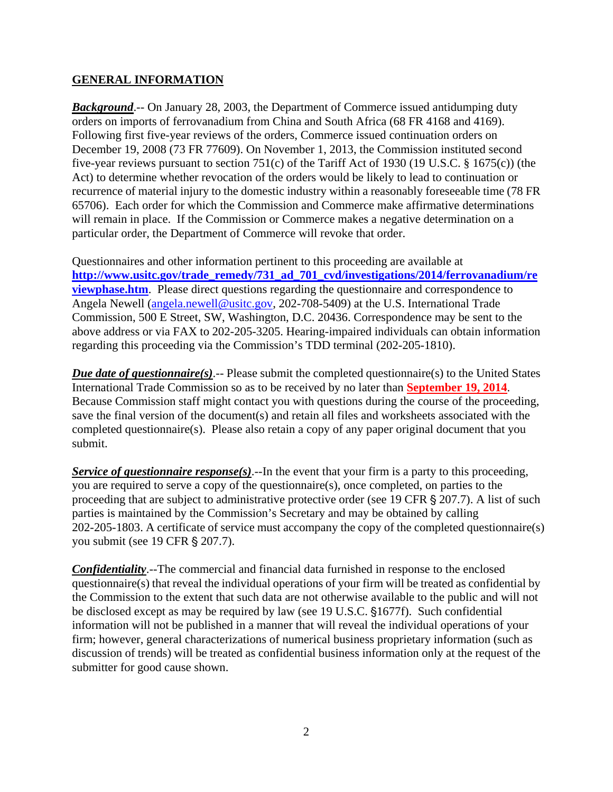#### **GENERAL INFORMATION**

*Background.*-- On January 28, 2003, the Department of Commerce issued antidumping duty orders on imports of ferrovanadium from China and South Africa (68 FR 4168 and 4169). Following first five-year reviews of the orders, Commerce issued continuation orders on December 19, 2008 (73 FR 77609). On November 1, 2013, the Commission instituted second five-year reviews pursuant to section 751(c) of the Tariff Act of 1930 (19 U.S.C. § 1675(c)) (the Act) to determine whether revocation of the orders would be likely to lead to continuation or recurrence of material injury to the domestic industry within a reasonably foreseeable time (78 FR 65706). Each order for which the Commission and Commerce make affirmative determinations will remain in place. If the Commission or Commerce makes a negative determination on a particular order, the Department of Commerce will revoke that order.

Questionnaires and other information pertinent to this proceeding are available at **http://www.usitc.gov/trade\_remedy/731\_ad\_701\_cvd/investigations/2014/ferrovanadium/re viewphase.htm**. Please direct questions regarding the questionnaire and correspondence to Angela Newell (angela.newell@usitc.gov, 202-708-5409) at the U.S. International Trade Commission, 500 E Street, SW, Washington, D.C. 20436. Correspondence may be sent to the above address or via FAX to 202-205-3205. Hearing-impaired individuals can obtain information regarding this proceeding via the Commission's TDD terminal (202-205-1810).

*Due date of questionnaire(s)*.-- Please submit the completed questionnaire(s) to the United States International Trade Commission so as to be received by no later than **September 19, 2014**. Because Commission staff might contact you with questions during the course of the proceeding, save the final version of the document(s) and retain all files and worksheets associated with the completed questionnaire(s). Please also retain a copy of any paper original document that you submit.

*Service of questionnaire response(s).*--In the event that your firm is a party to this proceeding, you are required to serve a copy of the questionnaire(s), once completed, on parties to the proceeding that are subject to administrative protective order (see 19 CFR § 207.7). A list of such parties is maintained by the Commission's Secretary and may be obtained by calling 202-205-1803. A certificate of service must accompany the copy of the completed questionnaire(s) you submit (see 19 CFR § 207.7).

*Confidentiality*.--The commercial and financial data furnished in response to the enclosed questionnaire(s) that reveal the individual operations of your firm will be treated as confidential by the Commission to the extent that such data are not otherwise available to the public and will not be disclosed except as may be required by law (see 19 U.S.C. §1677f). Such confidential information will not be published in a manner that will reveal the individual operations of your firm; however, general characterizations of numerical business proprietary information (such as discussion of trends) will be treated as confidential business information only at the request of the submitter for good cause shown.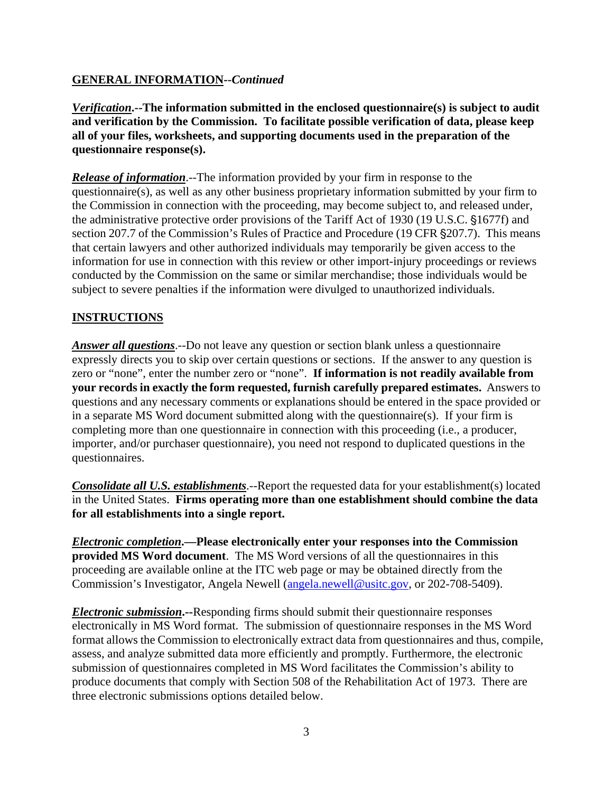#### **GENERAL INFORMATION--***Continued*

*Verification***.--The information submitted in the enclosed questionnaire(s) is subject to audit and verification by the Commission. To facilitate possible verification of data, please keep all of your files, worksheets, and supporting documents used in the preparation of the questionnaire response(s).**

*Release of information*.--The information provided by your firm in response to the questionnaire(s), as well as any other business proprietary information submitted by your firm to the Commission in connection with the proceeding, may become subject to, and released under, the administrative protective order provisions of the Tariff Act of 1930 (19 U.S.C. §1677f) and section 207.7 of the Commission's Rules of Practice and Procedure (19 CFR § 207.7). This means that certain lawyers and other authorized individuals may temporarily be given access to the information for use in connection with this review or other import-injury proceedings or reviews conducted by the Commission on the same or similar merchandise; those individuals would be subject to severe penalties if the information were divulged to unauthorized individuals.

#### **INSTRUCTIONS**

*Answer all questions*.--Do not leave any question or section blank unless a questionnaire expressly directs you to skip over certain questions or sections. If the answer to any question is zero or "none", enter the number zero or "none". **If information is not readily available from your records in exactly the form requested, furnish carefully prepared estimates.** Answers to questions and any necessary comments or explanations should be entered in the space provided or in a separate MS Word document submitted along with the questionnaire(s). If your firm is completing more than one questionnaire in connection with this proceeding (i.e., a producer, importer, and/or purchaser questionnaire), you need not respond to duplicated questions in the questionnaires.

*Consolidate all U.S. establishments*.--Report the requested data for your establishment(s) located in the United States. **Firms operating more than one establishment should combine the data for all establishments into a single report.**

*Electronic completion***.—Please electronically enter your responses into the Commission provided MS Word document**. The MS Word versions of all the questionnaires in this proceeding are available online at the ITC web page or may be obtained directly from the Commission's Investigator, Angela Newell (angela.newell@usitc.gov, or 202-708-5409).

*Electronic submission***.--**Responding firms should submit their questionnaire responses electronically in MS Word format. The submission of questionnaire responses in the MS Word format allows the Commission to electronically extract data from questionnaires and thus, compile, assess, and analyze submitted data more efficiently and promptly. Furthermore, the electronic submission of questionnaires completed in MS Word facilitates the Commission's ability to produce documents that comply with Section 508 of the Rehabilitation Act of 1973. There are three electronic submissions options detailed below.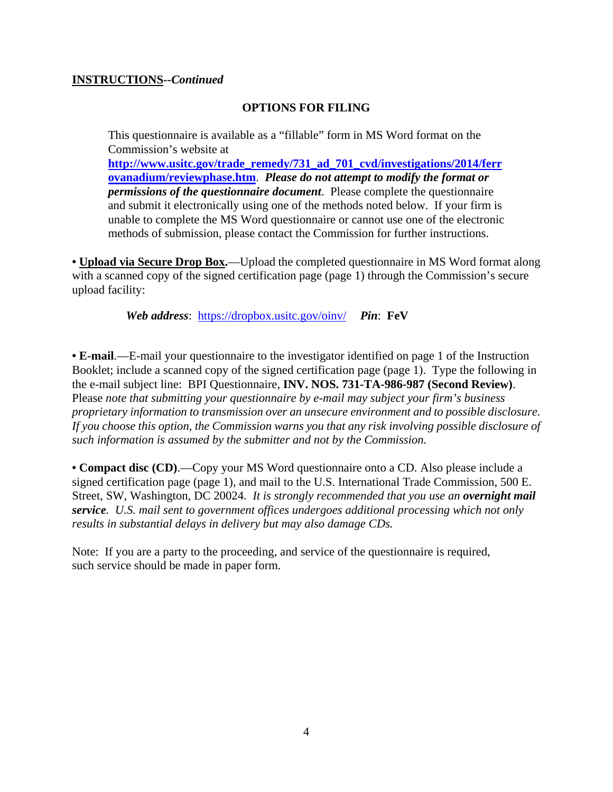#### **INSTRUCTIONS--***Continued*

#### **OPTIONS FOR FILING**

This questionnaire is available as a "fillable" form in MS Word format on the Commission's website at **http://www.usitc.gov/trade\_remedy/731\_ad\_701\_cvd/investigations/2014/ferr ovanadium/reviewphase.htm**. *Please do not attempt to modify the format or permissions of the questionnaire document*. Please complete the questionnaire and submit it electronically using one of the methods noted below. If your firm is unable to complete the MS Word questionnaire or cannot use one of the electronic methods of submission, please contact the Commission for further instructions.

**• Upload via Secure Drop Box.**—Upload the completed questionnaire in MS Word format along with a scanned copy of the signed certification page (page 1) through the Commission's secure upload facility:

*Web address*: https://dropbox.usitc.gov/oinv/ *Pin*: **FeV**

**• E-mail**.—E-mail your questionnaire to the investigator identified on page 1 of the Instruction Booklet; include a scanned copy of the signed certification page (page 1). Type the following in the e-mail subject line: BPI Questionnaire, **INV. NOS. 731-TA-986-987 (Second Review)**. Please *note that submitting your questionnaire by e-mail may subject your firm's business proprietary information to transmission over an unsecure environment and to possible disclosure. If you choose this option, the Commission warns you that any risk involving possible disclosure of such information is assumed by the submitter and not by the Commission.* 

**• Compact disc (CD)**.—Copy your MS Word questionnaire onto a CD. Also please include a signed certification page (page 1), and mail to the U.S. International Trade Commission, 500 E. Street, SW, Washington, DC 20024. *It is strongly recommended that you use an overnight mail service. U.S. mail sent to government offices undergoes additional processing which not only results in substantial delays in delivery but may also damage CDs.* 

Note: If you are a party to the proceeding, and service of the questionnaire is required, such service should be made in paper form.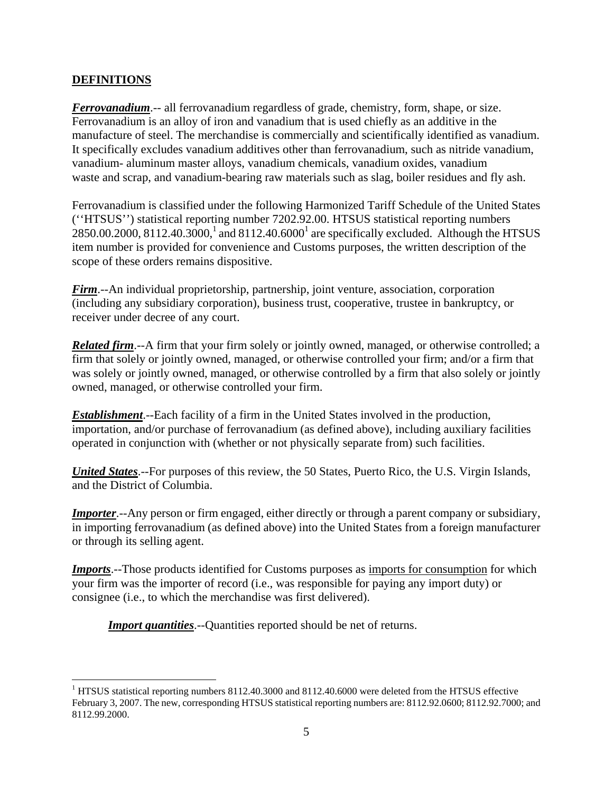#### **DEFINITIONS**

 $\overline{a}$ 

*Ferrovanadium*.-- all ferrovanadium regardless of grade, chemistry, form, shape, or size. Ferrovanadium is an alloy of iron and vanadium that is used chiefly as an additive in the manufacture of steel. The merchandise is commercially and scientifically identified as vanadium. It specifically excludes vanadium additives other than ferrovanadium, such as nitride vanadium, vanadium- aluminum master alloys, vanadium chemicals, vanadium oxides, vanadium waste and scrap, and vanadium-bearing raw materials such as slag, boiler residues and fly ash.

Ferrovanadium is classified under the following Harmonized Tariff Schedule of the United States (''HTSUS'') statistical reporting number 7202.92.00. HTSUS statistical reporting numbers 2850.00.2000, 8112.40.3000,<sup>1</sup> and 8112.40.6000<sup>1</sup> are specifically excluded. Although the HTSUS item number is provided for convenience and Customs purposes, the written description of the scope of these orders remains dispositive.

*Firm*.--An individual proprietorship, partnership, joint venture, association, corporation (including any subsidiary corporation), business trust, cooperative, trustee in bankruptcy, or receiver under decree of any court.

*Related firm*.--A firm that your firm solely or jointly owned, managed, or otherwise controlled; a firm that solely or jointly owned, managed, or otherwise controlled your firm; and/or a firm that was solely or jointly owned, managed, or otherwise controlled by a firm that also solely or jointly owned, managed, or otherwise controlled your firm.

*Establishment*.--Each facility of a firm in the United States involved in the production, importation, and/or purchase of ferrovanadium (as defined above), including auxiliary facilities operated in conjunction with (whether or not physically separate from) such facilities.

*United States*.--For purposes of this review, the 50 States, Puerto Rico, the U.S. Virgin Islands, and the District of Columbia.

*Importer*.--Any person or firm engaged, either directly or through a parent company or subsidiary, in importing ferrovanadium (as defined above) into the United States from a foreign manufacturer or through its selling agent.

*Imports*.--Those products identified for Customs purposes as imports for consumption for which your firm was the importer of record (i.e., was responsible for paying any import duty) or consignee (i.e., to which the merchandise was first delivered).

*Import quantities*.--Quantities reported should be net of returns.

<sup>&</sup>lt;sup>1</sup> HTSUS statistical reporting numbers 8112.40.3000 and 8112.40.6000 were deleted from the HTSUS effective February 3, 2007. The new, corresponding HTSUS statistical reporting numbers are: 8112.92.0600; 8112.92.7000; and 8112.99.2000.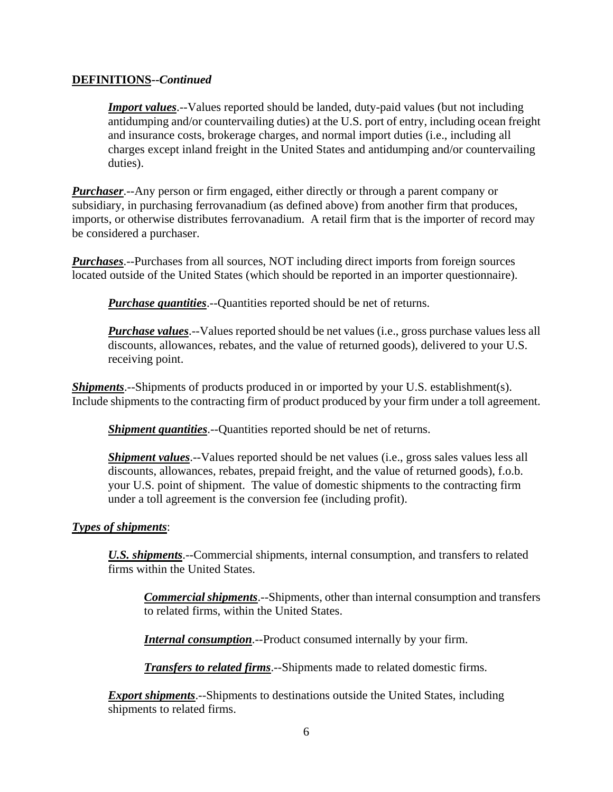#### **DEFINITIONS--***Continued*

*Import values*.--Values reported should be landed, duty-paid values (but not including antidumping and/or countervailing duties) at the U.S. port of entry, including ocean freight and insurance costs, brokerage charges, and normal import duties (i.e., including all charges except inland freight in the United States and antidumping and/or countervailing duties).

*Purchaser*.--Any person or firm engaged, either directly or through a parent company or subsidiary, in purchasing ferrovanadium (as defined above) from another firm that produces, imports, or otherwise distributes ferrovanadium. A retail firm that is the importer of record may be considered a purchaser.

*Purchases*.--Purchases from all sources, NOT including direct imports from foreign sources located outside of the United States (which should be reported in an importer questionnaire).

*Purchase quantities*.--Quantities reported should be net of returns.

*Purchase values*.--Values reported should be net values (i.e., gross purchase values less all discounts, allowances, rebates, and the value of returned goods), delivered to your U.S. receiving point.

*Shipments*.--Shipments of products produced in or imported by your U.S. establishment(s). Include shipments to the contracting firm of product produced by your firm under a toll agreement.

*Shipment quantities*.--Quantities reported should be net of returns.

*Shipment values*.--Values reported should be net values (*i.e.*, gross sales values less all discounts, allowances, rebates, prepaid freight, and the value of returned goods), f.o.b. your U.S. point of shipment. The value of domestic shipments to the contracting firm under a toll agreement is the conversion fee (including profit).

#### *Types of shipments*:

*U.S. shipments*.--Commercial shipments, internal consumption, and transfers to related firms within the United States.

*Commercial shipments*.--Shipments, other than internal consumption and transfers to related firms, within the United States.

*Internal consumption*.--Product consumed internally by your firm.

*Transfers to related firms*.--Shipments made to related domestic firms.

*Export shipments*.--Shipments to destinations outside the United States, including shipments to related firms.